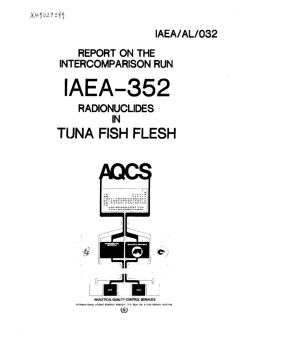$XAY027299$ 

## IAEA/AL/032

## **REPORT ON THE INTERCOMPARISON RUN**

# **IAEA-352**

## **RADIONUCLIDES** IN **TUNA FISH FLESH**

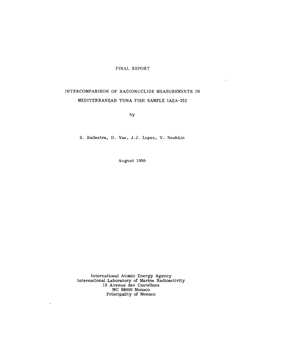#### FINAL REPORT

### INTERCOMPARISON OF RADIONUCLIDE MEASUREMENTS IN MEDITERRANEAN TUNA FISH SAMPLE IAEA-352

by

S. Ballestra, D. Vas, J.J. Lopez, V. Noshkin

August 1990

International Atomic Energy Agency International Laboratory of Marine Radioactivity 19 Avenue des Castellans MC 98000 Monaco Principality of Monaco

 $\ddot{\phantom{a}}$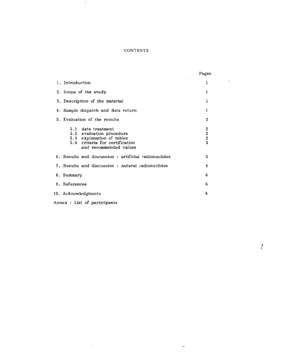#### **CONTENTS**

 $\sigma^{\lambda}$ 

 $\mathcal{L}(\mathcal{A})$  and

 $\frac{1}{2}$ 

|                                                                                                                                         | Pages                             |
|-----------------------------------------------------------------------------------------------------------------------------------------|-----------------------------------|
| 1. Introduction                                                                                                                         | 1                                 |
| 2. Scope of the study                                                                                                                   | 1                                 |
| 3. Description of the material                                                                                                          | 1                                 |
| 4. Sample dispatch and data return                                                                                                      | 1                                 |
| 5. Evaluation of the results                                                                                                            | $\mathbf 2$                       |
| 5.1 data treatment<br>5.2 evaluation procedure<br>5.3 explanation of tables<br>5.4 criteria for certification<br>and recommended values | $\boldsymbol{2}$<br>$\frac{2}{3}$ |
| 6. Results and discussion : artificial radionuclides                                                                                    | 3                                 |
| 7. Results and discussion: natural radionuclides                                                                                        | 4                                 |
| 8. Summary                                                                                                                              | 6                                 |
| 9. References                                                                                                                           | 6                                 |
| 10. Acknowledgments                                                                                                                     | 6                                 |
| Annex : List of participants                                                                                                            |                                   |

 $\sim 10^4$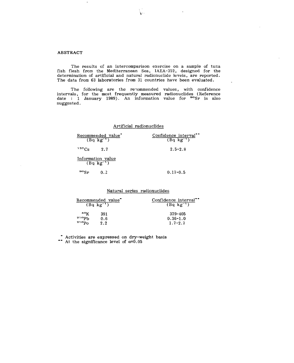#### **ABSTRACT**

The results of an intercomparison exercise on a sample of tuna fish flesh from the Mediterranean Sea, IAEA-352, designed for the determination of artificial and natural radionuclide levels, are reported. The data from 63 laboratories from 31 countries have been evaluated.

 $\mathbf{r}$ 

The following are the recommended values, with confidence intervals, for the most frequently measured radionuclides (Reference date : 1 January 1989). An information value for <sup>90</sup>Sr is also suggested.

#### Artificial radionuclides

| Recommended value"<br>$(Bq \overline{kg^{-1}})$ | Confidence interval <sup>*</sup><br>$(Bq \text{ kg}^{-1})$ |
|-------------------------------------------------|------------------------------------------------------------|
| 137Cs<br>27                                     | $2.5 - 2.8$                                                |
| Information value<br>$(Bq \text{ kg}^{-1})$     |                                                            |
| $^{90}\mathrm{Sr}$<br>0.2                       | $0.17 - 0.5$                                               |

Natural series radionuclides

| Recommended value <sup>-</sup> |     | Confidence interval <sup>**</sup> |
|--------------------------------|-----|-----------------------------------|
| $(Bq \text{ kg}^{-1})$         |     | $(Bq \text{ kg}^{-1})$            |
| 40K                            | 391 | 379-405                           |
| 210p <sub>b</sub>              | 0.6 | $0.36 - 1.0$                      |
| $210p_0$                       | 2.2 | $1.7 - 2.7$                       |

Activities are expressed on dry-weight basis

At the significance level of  $\alpha=0.05$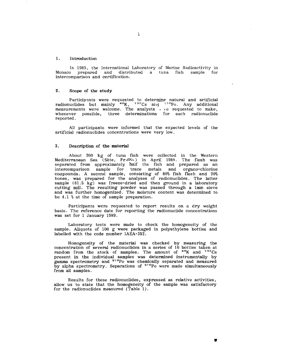#### 1. Introduction

In 1989, the International Laboratory of Marine Radioactivity in Monaco prepared and distributed a tuna fish sample for intercomparison and certification.

#### 2. Scope of the study

Participants were requested to determine natural and artificial radionuclides but mainly  $40K$ ,  $137Cs$  and  $10P_0$ . Any additional measurements were welcome. The analysts  $\cdot$  ae requested to make, whenever possible, three determinations for each radionuclide reported.

All participants were informed that the expected levels of the artificial radionuclides concentrations were very low.

#### 3. Description of the material

About 200 kg of tuna fish were collected in the Western Mediterranean Sea (Sète, Fr $\mathfrak{mc}_{\mathsf{t}}$ ) in April 1988. The flesh was separated from approximately half the fish and prepared as an intercomparison sample for trace metals and organo-chlorine compounds. A second sample, consisting of 80% fish flesh and 20% bones, was prepared for the analyses of radionuclides. The latter sample (61.5 kg) was freeze-dried and then ground in a laboratory cutting mill. The resulting powder was passed through a 1mm sieve and was further homogenized. The moisture content was determined to be 4.1 % at the time of sample preparation.

Participants were requested to report results on a dry weight basis. The reference date for reporting the radionuclide concentrations was set for 1 January 1989.

Laboratory tests were made to check the homogeneity of the sample. Aliquots of 100 g were packaged in polyethylene bottles and labelled with the code number IAEA-352.

Homogeneity of the material was checked by measuring the concentration of several radionuclides in a series of 10 bottles taken at random from the stock of samples. The amount of <sup>40</sup>K and <sup>137</sup>Cs present in the individual samples was determined instrumentally by gamma spectrometry and <sup>210</sup>Po was chemically separated and measured by alpha spectrometry. Separations of <sup>210</sup>Po were made simultaneously from all samples.

Results for these radionuclides, expressed as relative activities, allow us to state that the homogeneity of the sample was satisfactory for the radionuclides measured (Table 1).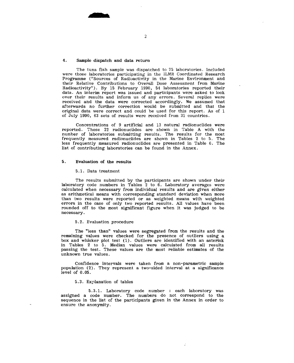#### 4. Sample dispatch and data return

The tuna fish sample was dispatched to 75 laboratories. Included were those laboratories participating in the ILMR Coordinated Research Programme ("Sources of Radioactivity in the Marine Environment and their Relative Contributions to Overall Dose Assessment from Marine Radioactivity"). By 15 February 1990, 54 laboratories reported their data. An interim report was issued and participants were asked to look over their results and inform us of any errors. Several replies were received and the data were corrected accordingly. We assumed that afterwards no further correction would be submitted and that the original data were correct and could be used for this report. As of 1 of July 1990, 63 sets of results were received from 31 countries.

Concentrations of 9 artificial and 13 natural radionuclides were reported. These 22 radionuclides are shown in Table A with the number of laboratories submitting results. The results for the most frequently measured radionuclides are shown in Tables 2 to 5. The less frequently measured radionuclides are presented in Table 6. The list of contributing laboratories can be found in the Annex.

#### 5. Evaluation of the results

#### 5.1. Data treatment

The results submitted by the participants are shown under their laboratory code numbers in Tables 2 to 6. Laboratory averages were calculated when necessary from individual results and are given either as arithmetical means with corresponding standard deviation when more than two results were reported or as weighted means with weighted errors in the case of only two reported results. All values have been rounded off to the most significant figure when it was judged to be necessary.

#### 5.2. Evaluation procedure

The "less than" values were segregated from the results and the remaining values were checked for the presence of outliers using a box and whisker plot test (1). Outliers are identified with an asterisk in Tables 2 to 5. Median values were calculated from all results passing the test. These values are the most reliable estimates of the unknown true values.

Confidence intervals were taken from a non-parametric sample population (2). They represent a two-sided interval at a significance level of 0.05.

#### 5.3. Explanation of tables

5.3.1. Laboratory code number : each laboratory was assigned a code number. The numbers do not correspond to the sequence in the list of the participants given in the Annex in order to ensure the anonymity.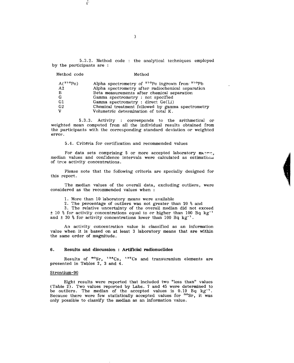5.3.2. Method code : the analytical techniques employed by the participants are :

Method code Method

| $A(^{210}P_0)$ | Alpha spectrometry of <sup>210</sup> Po ingrown from <sup>210</sup> Pb |
|----------------|------------------------------------------------------------------------|
| A <sub>2</sub> | Alpha spectrometry after radiochemical separation                      |
| B              | Beta measurements after chemical separation                            |
| G              | Gamma spectrometry : not specified                                     |
| G1             | Gamma spectrometry : direct Ge(Li)                                     |
| G <sub>2</sub> | Chemical treatment followed by gamma spectrometry                      |
| v              | Volumetric determination of total K.                                   |

5.3.3. Activity : corresponds to the arithmetical or weighted mean computed from all the individual results obtained from the participants with the corresponding standard deviation or weighted error.

5.4. Criteria for certification and recommended values

For data sets comprising 5 or more accepted laboratory menns, median values and confidence intervals were calculated as estimations of true activity concentrations.

Please note that the following criteria are specially designed for this report.

The median values of the overall data, excluding outliers, were considered as the recommended values when :

- 1. More than 10 laboratory means were available
- 2. The percentage of outliers was not greater than 20 % and

3. The relative uncertainty of the overall median did not exceed  $± 10$  % for activity concentrations equal to or higher than 100 Bq kg<sup>-1</sup> and  $\pm$  30 % for activity concentrations lower than 100 Bq kg<sup>-1</sup>.

An activity concentration value is classified as an information value when it is based on at least 3 laboratory means that are within the same order of magnitude.

#### **6. Results and discussion : Artificial radionuclides**

Results of <sup>90</sup>Sr, <sup>134</sup>Cs, <sup>137</sup>Cs and transuranium ele<mark>ments a</mark>re presented in Tables 2, 3 and 4.

#### Strontium-90

Eight results were reported that included two "less than" values (Table  $2$ ). Two values reported by Labs. 7 and 45 were determined to be outliers. The median of the accepted values is 0.19 Bq kg<sup>-1</sup>. Because there were few statistically accepted values for <sup>90</sup>Sr, it was only possible to classify the median as an information value.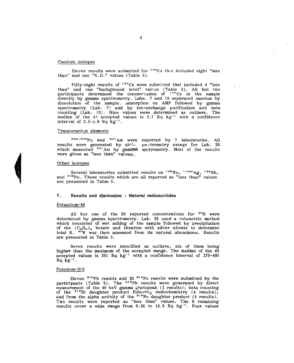#### Caesium isotopes

Eleven results were submitted for  $^{134}\mathrm{Cs}$  thet included eight "less than" and one "N.D." values (Table  $3$ ).

Fifty-eight results of <sup>137</sup>Cs were submitted that included 4 "less than" and one "background level" values (Table 3). All but two participants determined the concentration of <sup>137</sup>Cs in the sample directly by gamma spectrometry. Labs. 7 and 10 separated caesium by dissolution of the sample, adsorption on AMP followed by gamma spectrometry (Lab. 7) and by ion-exchange purification and beta counting (Lab. 10). Nine values were determined as outliers. The median of the  $44$  accepted values is  $2.7$  Bq kg<sup>-1</sup> with a confidence interval of  $2.5 - 2.8$  Bq kg<sup>-1</sup>.

#### Transuranium elements

<sup>239,240</sup>Pu and <sup>241</sup>Am were reported by 7 laboratories. All results were generated by alrimate  $\mu$ -ctrometry except for Lab. 55 which measured <sup>241</sup>Am by gamma tectrometry. Most of the results were given as "less than" values.

#### Other isotopes

Several laboratories submitted results on <sup>106</sup>Ru, <sup>110m</sup>Ag, <sup>125</sup>Sb and <sup>238</sup>Pu. These results which are all reported as "less than" values are presented in Table 6.

#### 7. Results and discussion : Natural radionuclides

#### Potassium-40

All but one of the 56 reported concentrations for <sup>40</sup>K were determined by gamma spectrometry. Lab. 35 used a volumetric method which consisted of wet ashing of the sample followed by precipitation of the  $(C_6H_5)_4$  borate and titration with silver nitrate to determine total K. <sup>40</sup>K was then assessed from its natural abundance. Results are presented in Table 3.

Seven results were identified as outliers, six of them being higher than the maximum of the accepted range. The median of the 49 accepted values is  $391$  Bq kg<sup>-1</sup> with a confidence interval of  $379-405$ ncceptor<br>Bq kg<sup>-1</sup>.

#### Polonium-210

Eleven <sup>21 o</sup>Pb results and 25 <sup>21 o</sup>Po results were submitted by the participants (Table 5). The <sup>210</sup>Pb results were generated by direct measurement of the 46 keV gamma photopeak (3 results); beta counting of the <sup>210</sup>Bi daughter product following radiochemistry (4 results); and from the alpha activity of the  $21^{\circ}$ Po daughter product (4 results). Two results were reported as "less than" values. The 9 remaining results cover a wide range from 0.36 to 16.5 Bq kg<sup>-1</sup>. Four values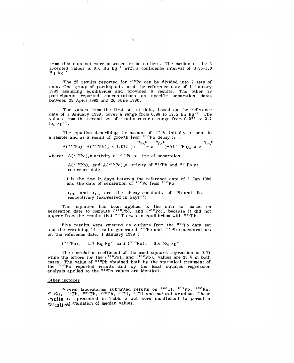from this data set were assessed to be outliers. The median of the 5  $\frac{1}{2}$  accepted values is 0.6 Bq kg<sup>-1</sup> with a confidence interval of 0.36-1.0  $Bq kg^{-1}$ .

The 25 results reported for <sup>210</sup>Po can be divided into 2 sets of data. One group of participants used the reference date of 1 January 1989 assuming equilibrium and provided 6 results. The other 19 participants reported concentrations on specific separation dates between 25 April 1989 and 20 June 1990.

The values from the first set of data, based on the reference date of 1 January 1989, cover a range from  $0.88$  to 12.5 Bq  $kg^{-1}$ . The values from the second set of results cover a range from 0.025 to 3.7  $Bq kg^{-1}$ .

The equation describing the amount of <sup>210</sup>Po initially present in a sample and as a result of growth from <sup>210</sup>Pb decay is :

$$
A(^{210}Po)
$$
, = $A(^{210}Pb)$ , x 1.017 (e<sup>-Y</sup>Pb<sup>t</sup> - e<sup>-Y</sup>Po<sup>t</sup> + A(^{210}Po), x e<sup>-Y</sup>Po<sup>t</sup>

where:  $A(^{210}Po)_1$ = activity of  $210Po$  at time of separation

 $A(^{210}Pb)$ , and  $A(^{210}Po)$ <sub>o</sub>= activity of <sup>210</sup>Pb and <sup>210</sup>Po a reference date

t is the time in days between the reference date of 1 Jan. 1989 and the date of separation of  $21^{\circ}$ Po from  $21^{\circ}$ Pb

 $Y_{\text{P1}}$ , and  $Y_{\text{P0}}$  are the decay constants of Pb and Po, respectively (expressed in days<sup>-1</sup>)

This equation has been applied to the data set based on separation date to compute  $\binom{210}{2}$ , and  $\binom{210}{2}$ , because it did not appear from the results that  $210P_0$  was in equilibrium with  $210P_0$ 

Five results were rejected as outlier<mark>s</mark> from the <sup>210</sup>Po data set and the remaining 14 results generated <sup>210</sup>Po and <sup>210</sup>Pb concentrations on the reference date, 1 January 1989 :

 $({}^{210}P_0)_{\alpha} = 2.2$  Bq kg<sup>-1</sup> and  $({}^{210}P_0)_{\alpha} = 0.6$  Bq kg<sup>-1</sup>

The correlation coefficient of the least squares regression is 0.77 while the errors for the  $({}^{210}Po)_{\alpha}$  and  $({}^{210}Pb)_{\alpha}$  values are 23 % in both cases. The value of  $2^{10}Pb$  obtained both by the statistical treatment of the <sup>210</sup>Pb reported results and by the least squares regression analysis applied to the <sup>210</sup>Po values are identical.

#### Other isotopes

laboratories submitted results on <sup>208</sup>Tl, <sup>212</sup>Pb, <sup>226</sup>Ra  $2^{\circ}$  Ra,  $\sqrt[3]{n}$ Th,  $2^{30}$ Th,  $2^{32}$ Th,  $2^{34}$ U,  $2^{38}$ U and natural uranium. These esults a presented in Table 5 but were insufficient to permit a tatistica) valuation of median values.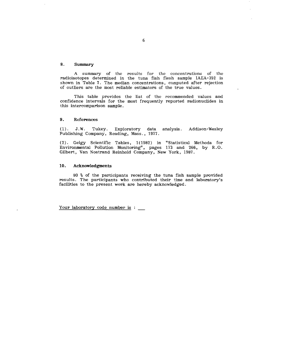#### **8. Summary**

A summary of the results for the concentrations of the radioisotopes determined in the tuna fish flesh sample IAEA-352 is shown in Table 7. The median concentrations, computed after rejection of outliers are the most reliable estimators of the true values.

This table provides the list of the recommended values and confidence intervals for the most frequently reported radionuclides in this intercomparison sample.

#### **9. References**

(1). J.W. Tukey. Exploratory data analysis. Addison-Wesley Publishing Company, Reading, Mass., 1977.

(2). Geigy Scientific Tables, 1(1982) in "Statistical Methods for Environmental Pollution Monitoring", pages 173 and 266, by R.O. Gilbert, Van Nostrand Reinhold Company, New York, 1987.

#### **10. Acknowledgments**

80 % of the participants receiving the tuna fish sample provided results. The participants who contributed their time and laboratory's facilities to the present work are hereby acknowledged.

Your laboratory code number is :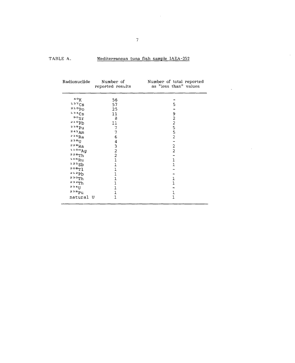#### TABLE A. Mediterranean tuna fish sample IAEA-352

 $\sim 10^{-10}$ 

 $\bar{\mathcal{A}}$ 

 $\mathbb{Z}^2$ 

 $\mathcal{L}_{\mathcal{A}}$ 

| Radionuclide       | Number of<br>reported results              | Number of total reported<br>as "less than" values |
|--------------------|--------------------------------------------|---------------------------------------------------|
| $\mathrm{^{4.0}K}$ | 56                                         |                                                   |
| 137Cs              | 57                                         | 5                                                 |
| 210p               | 25                                         |                                                   |
| 134Cs              | 11                                         |                                                   |
| $\rm ^{90}Sr$      | 8                                          |                                                   |
| 210Pb              | 11                                         | 92255                                             |
| 239Pu              | 7                                          |                                                   |
| $241$ Am           | $\overline{7}$                             |                                                   |
| $226$ Ra           | 6                                          | $\overline{2}$                                    |
| <b>Uscs</b>        | 4                                          |                                                   |
| $228$ Ra           | $\begin{array}{c} 3 \\ 2 \\ 2 \end{array}$ | $\overline{\mathbf{c}}$                           |
| 110mAg             |                                            | $\overline{c}$                                    |
| $228$ Th           |                                            |                                                   |
| 106Ru              | $\overline{1}$                             | 1                                                 |
| 1255b              | 1                                          | 1                                                 |
| 208T1              |                                            |                                                   |
| 212Pb              |                                            |                                                   |
| 230Th              | 1                                          | 1                                                 |
| 232Th              | 1                                          | 1                                                 |
| 234J               | 1                                          |                                                   |
| 238pu              | $\overline{1}$                             | 1                                                 |
| natural U          | 1                                          | 1                                                 |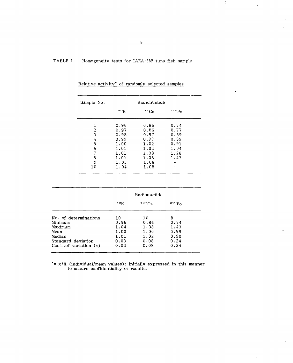TABLE 1. Homogeneity tests for IAEA-352 tuna fish sample.

| Sample No.                                      |                                                                              | Radionuclide                                                                 |                                                              |
|-------------------------------------------------|------------------------------------------------------------------------------|------------------------------------------------------------------------------|--------------------------------------------------------------|
|                                                 | 40 <sub>K</sub>                                                              | 137Cs                                                                        | $210p_0$                                                     |
| 1<br>2<br>3<br>4<br>5<br>6<br>7<br>8<br>9<br>10 | 0.96<br>0.97<br>0.98<br>0.99<br>1.00<br>1.01<br>1.01<br>1.01<br>1.03<br>1.04 | 0.86<br>0.86<br>0.97<br>0.97<br>1.02<br>1.02<br>1.08<br>1.08<br>1.08<br>1.08 | 0.74<br>0.77<br>0.89<br>0.89<br>0.91<br>1.04<br>1.28<br>1.43 |

Relative activity\* of randomly selected samples

|                                  | Radionuclide    |              |              |  |
|----------------------------------|-----------------|--------------|--------------|--|
|                                  | 40 <sub>K</sub> | 137Cs        | $210p_0$     |  |
| No. of determinations<br>Minimum | 10<br>0.96      | 10<br>0.86   | 8<br>0.74    |  |
| Maximum                          | 1.04            | 1.08         | 1.43         |  |
| Mean<br>Median                   | 1.00<br>1.01    | 1.00<br>1.02 | 0.99<br>0.90 |  |
| Standard deviation               | 0.03            | 0.08         | 0.24         |  |
| Coeff. of variation $(\%)$       | 0.03            | 0.08         | 0.24         |  |

 $\dot{z}$  =  $x/X$  (individual/mean values): initially expressed in this manner to assure confidentiality of results.

 $\zeta$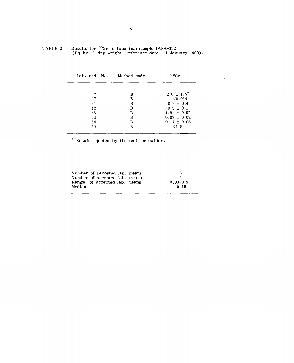|   | $90c_n$                    |
|---|----------------------------|
|   |                            |
| В | $2.0 \pm 1.5$ <sup>*</sup> |
| B | $\langle 0.014 \rangle$    |
| в | $0.2 \pm 0.4$              |
| B | $0.5 \pm 0.1$              |
| в | $1.8 \pm 0.9^*$            |
| в | $0.03 \pm 0.02$            |
| B | $0.17 \pm 0.08$            |
| в | $\leq 1.5$                 |
|   | Lab. code No. Method code  |

 $\sim$   $\sim$ 

TABLE 2. Results for <sup>90</sup>Sr in tuna fish sample IAEA-352 (Bq kg ^<sup>1</sup> dry weight, reference date : 1 January 1989).

Result rejected by the test for outliers

|        | Number of reported lab. means<br>Number of accepted lab. means<br>Range of accepted lab. means |  | В<br>4<br>$0.03 - 0.5$ |
|--------|------------------------------------------------------------------------------------------------|--|------------------------|
| Median |                                                                                                |  | 0.19                   |

 $\sim$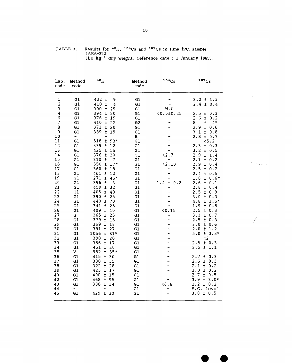#### TABLE 3. Results for <sup>40</sup>K, <sup>134</sup>Cs and <sup>137</sup>Cs in tuna fish sample IAEA-352 (Bq kg<sup>-1</sup> dry weight, reference date : 1 January 1989).

| Lab.<br>code                                                                                                                                                                                                                                                                        | Method<br>code                                                                                                                                                                                                                                  | 40 <sub>K</sub>                                                                                                                                                                                                                                                                                                                                                                                                                                                                                                                                                                                                                                                                                                                                                                                                                            | Method<br>code                                                                                                                                                                                                                                          | 134Cs                                                                          | 137Cs                                                                                                                                                                                                                                                                                                                                                                                                                                                                                                                                                                                                                                                                                                                                                                                                                                                                                        |
|-------------------------------------------------------------------------------------------------------------------------------------------------------------------------------------------------------------------------------------------------------------------------------------|-------------------------------------------------------------------------------------------------------------------------------------------------------------------------------------------------------------------------------------------------|--------------------------------------------------------------------------------------------------------------------------------------------------------------------------------------------------------------------------------------------------------------------------------------------------------------------------------------------------------------------------------------------------------------------------------------------------------------------------------------------------------------------------------------------------------------------------------------------------------------------------------------------------------------------------------------------------------------------------------------------------------------------------------------------------------------------------------------------|---------------------------------------------------------------------------------------------------------------------------------------------------------------------------------------------------------------------------------------------------------|--------------------------------------------------------------------------------|----------------------------------------------------------------------------------------------------------------------------------------------------------------------------------------------------------------------------------------------------------------------------------------------------------------------------------------------------------------------------------------------------------------------------------------------------------------------------------------------------------------------------------------------------------------------------------------------------------------------------------------------------------------------------------------------------------------------------------------------------------------------------------------------------------------------------------------------------------------------------------------------|
| 1<br>$\overline{\mathbf{c}}$<br>3<br>$\overline{4}$<br>6<br>7<br>8<br>9<br>10<br>11<br>12<br>13<br>14<br>15<br>16<br>17<br>18<br>19<br>20<br>21<br>22<br>23<br>24<br>25<br>26<br>27<br>28<br>29<br>30<br>31<br>32<br>33<br>34<br>35<br>36<br>37<br>38<br>39<br>40<br>42<br>43<br>44 | G1<br>G1<br>G1<br>G1<br>G1<br>G1<br>G1<br>G1<br>-<br>G1<br>G1<br>G1<br>G1<br>G1<br>G1<br>G1<br>G1<br>G1<br>G1<br>G1<br>G1<br>G1<br>G1<br>G1<br>G1<br>G<br>G1<br>G1<br>G1<br>G1<br>G1<br>G1<br>G1<br>V<br>G1<br>G1<br>G1<br>G1<br>G1<br>G1<br>G1 | 432<br>9<br>±<br>410<br>$\pm$<br>4<br>300<br>Ŧ<br>29<br>394<br>Ŧ<br>20<br>376<br>Ŧ<br>19<br>410<br>$\pm$<br>22<br>20<br>371<br>$\pm$<br>389<br>Ŧ<br>19<br>518<br>$93*$<br>±<br>339<br>Ŧ<br>12<br>425<br>$\pm$<br>15<br>376<br>30<br>Ŧ<br>310<br>土<br>7<br>556<br>Ŧ<br>$17*$<br>360<br>$\pm$<br>18<br>401<br>12<br>±<br>271<br>±<br>46*<br>396<br>$\overline{\mathbf{3}}$<br>±<br>459<br>32<br>ŧ<br>405<br>$\pm$<br>40<br>390<br>$\pm$<br>25<br>440<br>土<br>70<br>341<br>$\pm$<br>25<br>409<br>$\pm$<br>10<br>365<br>25<br>$\pm$<br>379<br>$\pm$<br>16<br>369<br>Ŧ<br>18<br>391<br>$\pm$<br>27<br>1056<br>$\pm$<br>$81*$<br>300<br>20<br>±<br>386<br>$\pm$<br>17<br>451<br>Ŧ<br>20<br>982<br>$\pm$<br>85*<br>415<br>Ŧ<br>30<br>388<br>±<br>35<br>322<br>$\pm$<br>28<br>423<br>±<br>17<br>400<br>Ŧ<br>15<br>468<br>Ŧ<br>95<br>388<br>±<br>14 | G1<br>G1<br>G1<br>G1<br>G1<br>G2<br>G1<br>G1<br>в<br>G1<br>G1<br>G1<br>G1<br>G1<br>G1<br>G1<br>G1<br>G1<br>G1<br>G1<br>G1<br>G1<br>G1<br>G1<br>G1<br>G1<br>G1<br>G1<br>G1<br>G1<br>G1<br>G1<br>G1<br>G1<br>G1<br>G1<br>G1<br>G1<br>G1<br>G1<br>G1<br>G1 | N.D<br>0.510.25<br>-<br>$2.7$<br>$2.10$<br>1.4<br>Ŧ<br>0.2<br>0.15<br>-<br>0.6 | 1.3<br>3.0<br>Ŧ<br>$\pm$<br>2.4<br>0.4<br>-<br>2.5<br>$\pm$<br>0.3<br>2.6<br>$\pm$<br>0.2<br>8<br>ŧ<br>4*<br>2.9<br>$\pm$<br>0.6<br>3.1<br>±.<br>0.8<br>2.8<br>±.<br>0.7<br><5.2<br>2.3<br>$\pm$<br>0.3<br>3.2<br>$\pm$<br>0.5<br>2.9<br>$\pm$<br>1.4<br>2.1<br>$\pmb{\pm}$<br>0.2<br>2.9<br>$\pm$<br>0.4<br>2.5<br>$\pm$<br>0.2<br>2.4<br>Ŧ<br>0.5<br>1.8<br>$\pm$<br>$0.6*$<br>2.6<br>± 0.1<br>2.8<br>$\pm$<br>0.4<br>2.5<br>$\pm$<br>0.9<br>3.0<br>$\pm$<br>0.3<br>4.8<br>$\pm$<br>$1.5*$<br>1.9<br>$\pm$<br>0.8<br>2.5<br>$\pm$<br>0.3<br>3.3<br>土<br>0.7<br>2.5<br>$\pm$<br>0.3<br>3.0<br>$\pm$<br>0.6<br>2.0<br>$\pm$<br>1.2<br>$3.3*$<br>5.0<br>$\pm$<br>$\langle 2$<br>2.5<br>$\pm$<br>0.3<br>3.5<br>$\pm$<br>1.1<br>2.7<br>$\pm$<br>0.3<br>2.6<br>$\pm$<br>0.3<br>2.1<br>Ŧ<br>0.2<br>3.0<br>Ŧ<br>0.2<br>2.7<br>$\pm$<br>0.5<br>3.9<br>$\pm$<br>$3.0*$<br>2.2<br>± 0.2<br>B.G. level |
| 45                                                                                                                                                                                                                                                                                  | G1                                                                                                                                                                                                                                              | 429<br>$\pm$<br>30                                                                                                                                                                                                                                                                                                                                                                                                                                                                                                                                                                                                                                                                                                                                                                                                                         | G1                                                                                                                                                                                                                                                      |                                                                                | $3.0 \pm 0.5$                                                                                                                                                                                                                                                                                                                                                                                                                                                                                                                                                                                                                                                                                                                                                                                                                                                                                |

 $\hat{\mathbf{v}}$ 

10

 $\omega$ 

 $\label{eq:1} \frac{1}{\sqrt{2}}\sum_{i=1}^n\sum_{j=1}^n\sum_{j=1}^n\sum_{j=1}^n\sum_{j=1}^n\sum_{j=1}^n\sum_{j=1}^n\sum_{j=1}^n\sum_{j=1}^n\sum_{j=1}^n\sum_{j=1}^n\sum_{j=1}^n\sum_{j=1}^n\sum_{j=1}^n\sum_{j=1}^n\sum_{j=1}^n\sum_{j=1}^n\sum_{j=1}^n\sum_{j=1}^n\sum_{j=1}^n\sum_{j=1}^n\sum_{j=1}^n\sum_{j=$ 

 $\overline{\mathcal{E}}$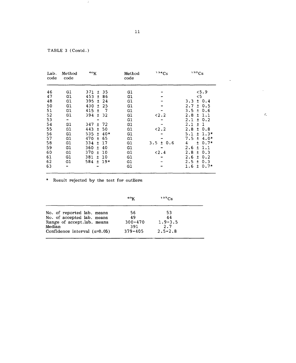TABLE 3 (Contd.)

 $\mathbb{R}$ 

| Lab.<br>code | Method<br>code | 40 <sub>K</sub>                          | Method<br>code | 134Cs         | 137Cs                      |
|--------------|----------------|------------------------------------------|----------------|---------------|----------------------------|
| 46           | G1             | -35<br>$371 +$                           | G1             |               | 5.9                        |
| 47           | G1             | 453<br>± 86                              | G1             |               | 5 <sub>o</sub>             |
| 48           | G1             | 395<br>$±$ 24                            | G1             |               | $3.3 \pm 0.4$              |
| 50           | G1             | 430<br>- 25<br>$+$                       | G1             |               | $2.7 \pm 0.5$              |
| 51           | G1             | 415<br>$\overline{\phantom{a}}$<br>$\pm$ | G1             |               | $3.5 \pm 0.6$              |
| 52           | G1             | 394<br>±32                               | G1             | $2.2$         | 2.8<br>1.1<br>Ŧ            |
| 53           | ⊷.             |                                          | G1             |               | $2.1 \pm 0.2$              |
| 54           | G1             | 347 ± 72                                 | G1             |               | $2.1 \pm 1$                |
| 55           | G1             | 443<br>50<br>$\pm$                       | G1             | 52.2          | $2.8 \pm 0.8$              |
| 56           | G1             | $±$ 40*<br>535.                          | G1             |               | 5.1<br>$± 1.3*$            |
| 57           | G1             | 470 ±<br>-65                             | G1             |               | $7.5 \pm 4.0*$             |
| 58           | G1             | 334<br>17<br>$\pm$                       | G1             | $3.5 \pm 0.6$ | $\overline{4}$<br>$± 0.7*$ |
| 59           | G1             | 360<br>40<br>$+$                         | G1             |               | 2.6<br>$\pm$<br>1.1        |
| 60           | G1             | 370<br>10<br>$\ddot{}$                   | G1             | < 2.4         | $2.8 \pm 0.3$              |
| 61           | G1             | $381 \pm$<br>10                          | G1             |               | $2.6 \pm 0.2$              |
| 62           | G1             | $19*$<br>584 ±                           | G1             |               | $2.5 \pm 0.3$              |
| 63           |                |                                          | G1             |               | $1.6 \pm 0.7*$             |

\* Result rejected by the test for outliers

|                                                                                                                                         | 40 <sub>K</sub>                               | $137C_S$                                      |  |
|-----------------------------------------------------------------------------------------------------------------------------------------|-----------------------------------------------|-----------------------------------------------|--|
| No. of reported lab. means<br>No. of accepted lab. means<br>Range of accept.lab. means<br>Median<br>Confidence interval $(\alpha=0.05)$ | 56<br>49<br>$300 - 470$<br>391<br>$379 - 405$ | 53<br>44<br>$1.9 - 3.5$<br>2.7<br>$2.5 - 2.8$ |  |
|                                                                                                                                         |                                               |                                               |  |

 $\mathcal{L}_{\mathbf{z}}$ 

 $\bar{L}$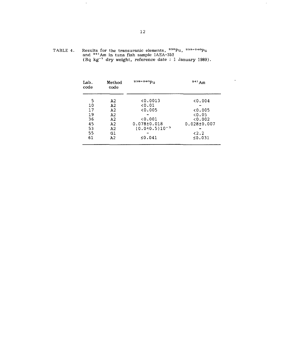| TABLE 4. | Results for the transuranic elements, <sup>238</sup> Pu, <sup>239+240</sup> Pu                   |
|----------|--------------------------------------------------------------------------------------------------|
|          | and <sup>241</sup> Am in tuna fish sample IAEA-352                                               |
|          |                                                                                                  |
|          | $(D0$ $\lfloor \pi^{-1} \rfloor$ due woight reference date $\lfloor \cdot \rfloor$ January 1989) |

 $\sim$ 

| Lab.<br>code | Method<br>code | 239+240Pu            | $241$ Am          |  |
|--------------|----------------|----------------------|-------------------|--|
| 5            | A2             | 0.0013               | 0.004             |  |
| 10           | A2             | 0.01                 |                   |  |
| 17           | A2             | 0.005                | 0.005             |  |
| 19           | A <sub>2</sub> |                      | 0.05              |  |
| 36           | A <sub>2</sub> | 0.001                | 0.002             |  |
| 45           | A2             | $0.078 \pm 0.018$    | $0.028 \pm 0.007$ |  |
| 53           | A <sub>2</sub> | $(0.0 + 0.5)10^{-3}$ |                   |  |
| 55           | G1             |                      | < 2.2             |  |
| 61           | A <sub>2</sub> | ≤ $0.041$            | ≤0.031            |  |
|              |                |                      |                   |  |

and <sup>---</sup>Am in tuna fish sample IAEA-332<br>(Bq kg<sup>-1</sup> dry weight, reference date : 1 January 1989).

 $\mathcal{A}$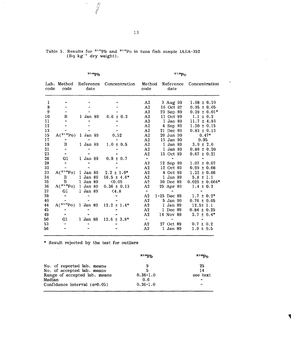| $21$ <sup>o</sup> Pb |                     |                   | 210Po           |                |                   |                    |
|----------------------|---------------------|-------------------|-----------------|----------------|-------------------|--------------------|
| code                 | Lab. Method<br>code | Reference<br>date | Concentration   | Method<br>code | Reference<br>date | Concentration      |
| 1                    |                     |                   |                 | A2             | 3 Aug 39          | $1.08 \pm 0.10$    |
| 8                    |                     |                   |                 | A <sub>2</sub> | 16 Oct 82         | $0.95 \pm 0.05$    |
| 9                    |                     |                   |                 | A <sub>2</sub> | 23 Sep 89         | $0.28 \pm 0.01*$   |
| 10                   | в                   | 1 Jan 89          | $0.6 \pm 0.3$   | A <sub>2</sub> | 11 Oct 89         | $1.1 \pm 0.2$      |
| 11                   |                     |                   |                 | A <sub>2</sub> | 1 Jan 89          | $11.7 \pm 4.83$    |
| 12                   |                     |                   |                 | A <sub>2</sub> | 4 Sep 89          | $1.30 \pm 0.15$    |
| 13                   |                     |                   |                 | A2             | 21 Dec 89         | $0.83 \pm 0.13$    |
| 15                   | $A(^{210}P_0)$      | 1 Jan 89          | 0.52            | A <sub>2</sub> | 20 Jun 90         | $0.47*$            |
| 17                   |                     |                   |                 | A <sub>2</sub> | 15 Jan 90         | 0.95               |
| 19                   | B                   | 1 Jan 89          | $1.0 \pm 0.5$   | A2             | 1 Jan 89          | $3.9 \pm 2.0$      |
| 21                   |                     |                   |                 | A <sub>2</sub> | 1 Jan 89          | $0.88 \pm 0.20$    |
| 23                   |                     |                   |                 | A2             | 15 Oct 89         | $0.67 \pm 0.21$    |
| 26                   | G1                  | 1 Jan 89          | $0.9 \pm 0.7$   | $\blacksquare$ |                   |                    |
| 28                   |                     |                   |                 | A <sub>2</sub> | 12 Sep 89         | $1.07 \pm 0.07$    |
| 32                   |                     |                   |                 | A <sub>2</sub> | 12 Oct 89         | $0.99 \pm 0.08$    |
| 33                   | $A(^{210}P_0)$      | 1 Jan 89          | $2.2 \pm 1.0*$  | A <sub>2</sub> | 4 Oct 89          | $1.23 \pm 0.06$    |
| 34                   | B                   | 1 Jan 89          | $16.5 \pm 4.6*$ | A <sub>2</sub> | $1$ Jan $89$      | $5.8 \pm 1.1$      |
| 35                   | B                   | 1 Jan 89          | < 0.05          | A <sub>2</sub> | 30 Dec 89         | $0.025 \pm 0.004*$ |
| 36                   | $A(^{210}Po)$       | 1 Jan 89          | $0.36 \pm 0.13$ | A <sub>2</sub> | 25 Apr 89         | $1.4 \pm 0.2$      |
| 37                   | G1                  | 1 Jan 89          | < 4.8           | $\blacksquare$ |                   |                    |
| 38                   |                     |                   |                 | A <sub>2</sub> | $1-25$ Dec 89     | $1.7 \pm 0.2^*$    |
| 40                   |                     |                   |                 | A <sub>2</sub> | 5 Jan 90          | $0.76 \pm 0.05$    |
| 44                   | $A(^{210}P_0)$      | 1 Jan 89          | $12.2 \pm 1.4*$ | A <sub>2</sub> | 1 Jan 89          | $12.5 \pm 1.1$     |
| 45                   |                     |                   |                 | A <sub>2</sub> | 1 Dec 89          | $0.84 \pm 0.25$    |
| 49                   |                     |                   |                 | A2             | 14 Nov 89         | $3.7 \pm 0.4^*$    |
| 50                   | G1                  | 1 Jan 89          | $12.6 \pm 3.8*$ | $\blacksquare$ |                   |                    |
| 53                   |                     |                   |                 | A <sub>2</sub> | 27 Oct 89         | $0.7 \pm 0.2$      |
| 56                   |                     |                   |                 | A <sub>2</sub> | 1 Jan 89          | $1.9 \pm 0.5$      |

| Table 5. Results for <sup>210</sup> Pb and <sup>210</sup> Po in tuna fish sample IAEA-352 |  |  |
|-------------------------------------------------------------------------------------------|--|--|
| $(Bq \text{ kg}^{-1}$ dry weight).                                                        |  |  |

 $\frac{1}{\sqrt{2}}$ 

\* Result rejected by the test for outliers

 $\mathcal{L}^{\mathcal{L}}$ 

 $\sim$ 

|                                     | 210ph        | 21 Op,   |
|-------------------------------------|--------------|----------|
| No. of reported lab. means          | 9            | 25       |
| No. of accepted lab. means          | 5            | 14       |
| Range of accepted lab. means        | $0.36 - 1.0$ | see text |
| Median                              | 0.6          |          |
| Confidence interval $(\alpha=0.05)$ | $0.36 - 1.0$ | -        |

 $\ddot{\phantom{a}}$ 

 $\ddot{\phantom{a}}$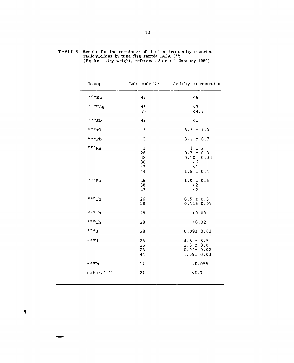| Isotope           |                                 | Lab. code No. Activity concentration                                                                 |
|-------------------|---------------------------------|------------------------------------------------------------------------------------------------------|
| 106Ru             | 43                              | < 8                                                                                                  |
| 110mAg            | 4 <sup>2</sup><br>55            | $\leq$ 3<br>< 4.7                                                                                    |
| 1255b             | 43                              | $\leq 1$                                                                                             |
| 208T1             | 3                               | $5.3 \pm 1.0$                                                                                        |
| 212Pb             | 3                               | $3.1 \pm 0.7$                                                                                        |
| $226$ Ra          | 3<br>26<br>28<br>38<br>42<br>44 | $\overline{c}$<br>4<br>$\pm$<br>$0.7 \pm 0.3$<br>0.101 0.02<br>$\leq 6$<br>$\leq 1$<br>$1.8 \pm 0.4$ |
| $228$ Ra          | 26<br>38<br>43                  | $1.0 \pm 0.5$<br>$\langle 2$<br>$\leq$ 2                                                             |
| <sup>228</sup> Th | 26<br>28                        | $0.5 \pm 0.3$<br>0.13±0.07                                                                           |
| 230Th             | 28                              | 0.03                                                                                                 |
| 232Th             | 28                              | 0.02                                                                                                 |
| <b>23411</b>      | 28                              | 0.0910.03                                                                                            |
| I <sub>18</sub>   | 25<br>26<br>28<br>44            | $4.8 \pm 8.5$<br>$2.5 \pm 0.8$<br>$0.04 \pm 0.02$<br>$1.59t$ 0.03                                    |
| 238Pu             | 17                              | 0.055                                                                                                |
| natural U         | 27                              | < 5.7                                                                                                |

 $\blacktriangledown$ 

TABLE 6. Results for the remainder of the less frequently reported radionuclides in tuna fish sample IAEA-352 (Bq kg"<sup>1</sup> dry weight, reference date : 1 January 1989).

 $\downarrow$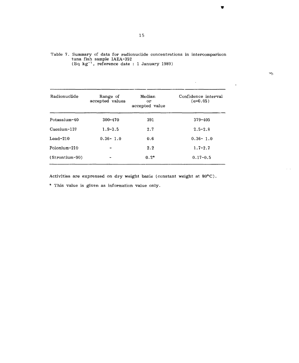| Table 7. Summary of data for radionuclide concentrations in intercomparison |
|-----------------------------------------------------------------------------|
| tuna fish sample IAEA-352                                                   |
| $(Bq \text{ kg}^{-1})$ , reference date : 1 January 1989)                   |

| Radionuclide     | Range of<br>accepted values | Median<br>or<br>accepted value | Confidence interval<br>$(\alpha = 0.05)$ |
|------------------|-----------------------------|--------------------------------|------------------------------------------|
| Potassium-40     | $300 - 470$                 | 391                            | $379 - 405$                              |
| Caesium-137      | $1.9 - 3.5$                 | 2.7                            | $2.5 - 2.8$                              |
| $Leaf-210$       | $0.36 - 1.0$                | 0.6                            | $0.36 - 1.0$                             |
| Polonium-210     |                             | 2.2                            | $1.7 - 2.7$                              |
| $(Strontium-90)$ |                             | $0.2*$                         | $0.17 - 0.5$                             |

Activities are expressed on dry weight basis (constant weight at  $80^{\circ}$ C).

\* This value is given as information value only.

 $\overline{\mathbf{v}}$ 

 $\mathbb{Z}^2$ 

 $\Delta \sim 10^4$ 

 $\omega_{\pi}$ 

 $\alpha = \alpha$  .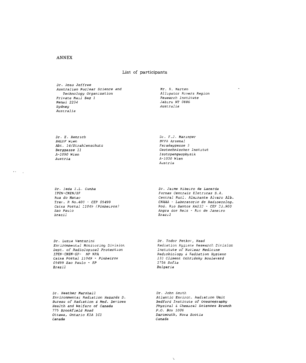#### List of participants

Dr. Ross Jeîîree Australian Nuclear Science and Technology Organization Private Mail Bag 1 Menai 2234 Sydney Australia

Mr. K. Marten Alligator Rivers Region Research Institute Jabiru NT 0886 Australia

Di . F.J. Maringer BVFA Arsenal Faradaygasse 3

Geotechnisches Institut Isotopengeophiisik A-1030 Hien Austria

Dr. E. Henrich BALUF Mien Abt. 14/Strahlenschutz Berggasse 11  $A-1090$  Wien Austria

 $\epsilon \approx \frac{1}{\epsilon_{\rm B}}$ 

Dr. leda I.L. Cunha IPBN-CNEN/SF Rua do Matae Trav. R No.400 - CEP 05499 Caixa Postal 11049 (Pinheiros) Sao Paulo brazil

Dr. Luzia Venturini Environmental Monitoring Division Vept. of Radiological Protection IPEN-CNEN-SP- NP NPA Caixa Postal 11049 - Pinheiros 05499 Sao Paulo - SP Brazil

Dr. Jaime Ribeiro de Lacerda Furnas Centrais Eletricas S.A. Central Nucl. Almirante Alvaro Alb. CNAAA - Laboratorio de Radioecolog. Rod. Rio Santos KmI32 - CEF 23.900 Angra dos Reis - Rie de Janeiro Brazil

Dr. Todor Petkov, Head Radiation Hygiene Research Division Institute of Nuclear Medicine Radiobiology & Radiation Hygiene 132 Climent Ochridsky Boulevard 1756 Sofia Bulgaria

Dr. Heather Marshall Environmental Radiation Hazards D. Bureau of Radiation S Ned. Devices Health and Welfare of Canada 775 Brookfield Road Ottawa, Ontario KlA ICl Canada

Dr. John Smith Atlantic Enviror.. Radiation Unit Bedford Institute of Oceanography Physical & Chemical Sciences Branch P.O. Box 1006 Dartmouth, Nova Scotia Canada

 $\hat{J}$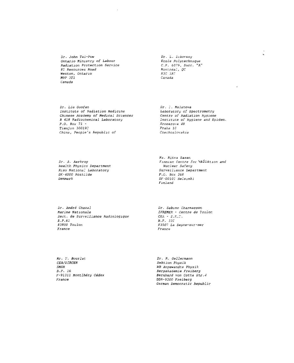Dr. John Tai-Pow Ontario Ministry of Labour Radiation Protection Service 81 Resources Road Weston, Ontario M9P 3Tl Canada

Dr. L. Zikovsky Ecole Polytechnique C.F. 6079, Suce. "A" Montréal, QC H3C 3A7 Canada

Dr. Liu Guofan Institute of Radiation Medicine Chinese Academy of Medical Sciences B 418 Radiochemical Laboratory P.O. Box 71 - Tianjin 30019: China, People's Republic of

Dr. I. Malatova Laboratory of Spectrometry Centre of Radiation Hygiene Institute of Hygiene and Epidem. Sroparova 48 Pr aha 1C Czechoslovakia

й.

Dr. A. Aarkrog health Physics Department Riso National Laboratory DK-4000 Roskiide Denmark

Ms. Ritva Saxen Finnisn Centre for Radiation and Nuclear Safety Surveillance Department P.O. Bex 268 SF-OOlOl Helsinki Finland

Dr. André Chazal Marine Nationale Sect, de Surveillance Radiologique B.P.61 83800 Toulon France

Dr. Sabine Charmasson IFREMER - Centre de Toulor.  $CEA - S.N.F.$ B.F. JjC £3507 La Seyne-sur-mer France

Mr. Y. Bourlat CEA/DIRCEN SMSR B.P. 16 F-91311 Montlhéry Cedex France

Dr. R. Gel 1ermann Sektion Physik WB Angewandte Physik Bergakademie Freiberg Bernhard von Cotta Str.4 DDR-9200 Freiberg German Democratic Republic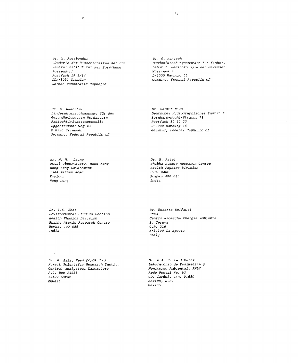Dr. W. Rossbander Akademie der Wissenschaften der DDR ...<br>Zentralinstitut für Kernforschung Rossendorf Postfach 19 1/14 DDR-8051 Dresden German Democratic Republic

 $\mathcal{L}$ 

*Dr. G. Kanisch Bundesforschungsanstalt fiir fisher.* Labor f. Radiookologie der Gewasser *Wiistland* 2 D-2000 Hamburg 55 Germany, Feaeral Republic of

Dr. H. Maechter Landesuntersuchungsamt für das Gesundheitsw—sen Nordbayern Radioaktivitaetsmesstelle Eggenreuther weg 43 D-8520 Erlangen Germany, Fédérai Republic of

Dr. Harmut Nies Deutsches Hydrographisches Institut Bernhard-Nocht-Strasse 78 Postfach 30 12 20 D-2000 Hamburg 36 Germany, Federai Republic of

Mr. M. H. Leung Royal Observatory, Hong Kong Hong Kong Government 134A Nathan Road Kovloon Hong Kong

Dr. B. Patel Bhabha Atomic Research Centre Health Physics Division P.O. BARC Bombay 400 085 India

Dr. 1.5. Bhat Environmental Studies Section Health Physics Division Bhabha Atomic Research Centre Bombay 400 085 India

Dr. Roberta DeIfanti ENEA Centro Ricerche Energia Ambiente S. Teresa C.P. 316 *2-29100 La Spezia Italy*

Dr. A. Aziz, Head QC/QA Unit Kuwait Scientific Research Instit. Central Analytical Laboratory P.O. Box 24885 13109 Safat Kuwait

Dr. H.A. Silva Jimenez Laboratorio de Dosimetria y Monitoreo Ambiental, PNLV Apdo Postal No. 53 CD. Cardel, VER. 91680 Mexico, D.F. Mexico

 $\tilde{\gamma}_1$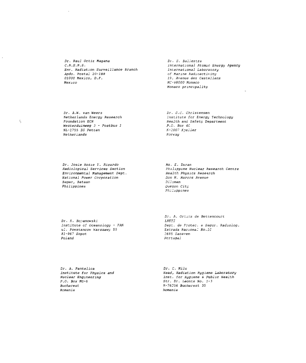Dr. Raul Ortiz Magana C.N.S.N.S. Env. Radiation Surveillance Branch Apdo. Postal 20-188 01000 Mexico, D.F. Mexico

Di . S. Baljestra International Atomic Energy Agency International Laboratory of Marine Radioactivity 19, Avenus des Castellans KC-98000 Monaco Monaco principality

Dr. A.K. van Weers Netherlands Energy Research Foundation ECN Westerduinweg 3 - Postbus J NL-1755 ZG Petten Netherlands

 $\frac{\epsilon}{2}$ 

Dr. S.C. Christensen Institute for Energy Technology Health and Safety Department P.O. Box 4C K-2007 Kielier Norway

Dr. Josie Rosie Y. Ricardo Radiological Services Section Environmental Management Dept. National Power Corporation Bagac, Bataan Philippines

Ms. E. Durar. Philippine Nuclear Research Centre Health Physics Research Don M. Marcos Avenue Diliman Quezon City Philippines

Dr. R. Boianowski Institute of Oceanoiogy - PAK ul. Powstancow Warszawy 55 81 -967 Sopot Poland

Dr. A. Ortins de Bettencourt LNETI Dept. de Protec. e Segur. Radiolog. Estrada Nacional No.1C 2685 Sacavem Portugal

Dr. A. Pantelica Institute for Physics and Nuclear Engineering P.C. Box MG-6 Bucharest Romania

Dr. C. MiIu Head, Radiation Hygiene Laboratory Inst. for Hygiene & Public Health Str. Dr. Leonte No. J-J R-76256 Bucharest 35 Romania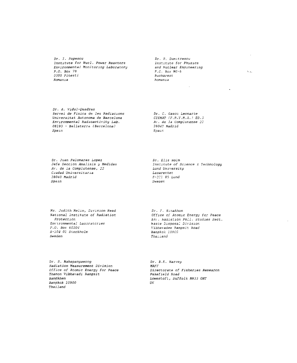Dr. I. Popescu Institute for Nucl. Power Reactors Environmental Monitoring Laboratory  $P.O. Box 78$ 0300 Pitesti Romania

Dr. R. Dumitrescu Institute for Physics and Nuclear Engineering  $P.C. Box MG-6$ Bucharest  $F_{\text{C}}$ 

 $\zeta_{\rm max}$ 

÷.

Dr. A. Vidal-Quadras Servei de Fisica de les Radiacions Universitat Autonoma de Barcelona Environmental Radioactivity Lab. 08193 - Bellaterra (Barcelona) Spain

Dr. C. Gasco Leonarte CIEMAT (F.R.Y.M.A.) ED.3 Av. de la Complutense 22 28040 Madrid  $Spar$ 

Dr. Juan Palomares Lopez Jefe Seccion Analisis y Medidas Av. de la Complutense, 22 Ciudad Universitaria 28040 Madrid Spain

Dr. Elis Holm Institute of Science & Technology Lund University Lasarettet  $S-221$  85 Lund Sweaer,

Ms. Judith Melin, Division Head National Institute of Radiation Protection Environmental Laboratcries P.O. Box 60204 S-104 01 Stockholm Sweden

Dr. F. Sinakhom Office of Atomic Energy for Peace Env. kadiation Poll. Studies Sect. Waste Disposal Division Vibhavadee Rangsit Road Banakok 10900 Thailand

Dr. S. Mahapanyawong Radiation Measurement Division Office of Atomic Energy for Peace Thanon Vibhavadi Rangsit Bangkhen Bangkok 10900 Thailand

Dr. B.R. Harvey MAFF Directorate of Fisheries Research Pakefield Road Lowestoit, Suffolk NR33 OHT  $U\ddot{K}$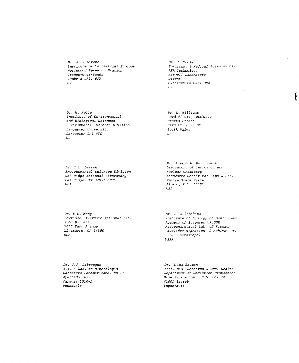Dr. F.R. Livens Institute of Terrestrial Ecology Merlewood Research Station Grange-over-Sands Cumbria LA11 6JU  $U\overline{K}$ 

 $Dr. J. Toole$ E wironm. & Medical Sciences Div. AEA Technologu Harwell Laboratory  $D$ *idcot* Oxfordshire OX11 ORA  $\overline{U}\overline{K}$ 

Dr. M. Kelly Institute of Environmental and Biological Sciences Environmental Science Division Lancaster University Lancaster LA1 4YQ  $III$ 

Dr. M. Williams Cardiff City Analysts Crofts Street Cardiff CF2 3DY South Wales  $UK$ 

Dr. I.L. Larsen Environmental Sciences Division Oak Ridge National Laboratory Oak Ridge, TN 37831-6036 USA

Dr. Joseph A. Hutchinson Laboratory of Inorganic and Nuclear Chemistry Wadsworth Center for Labs & Res. Empire State Flaza Albany, N.Y. 12201 USA

Dr. K.M. Wong Lawrence Livermore National Lab.  $F.C. Box 808$ 7000 East Avenue Livermore, CA 94550 USA

Dr. L. Kulebakına Institute of Biology of South Seas Academy of Sciences Uk.SSR kadioanalutical Lab. of Fission Nuclides Migration, 2 Nahimov Pr. 335000 Sevastopol  $USSR$ 

Dr. J.J. LaBrecque IVIC - Lab. de Mineralogia Carretera Panamericana, km 11 Apartado 1827 .<br>Caracas 1010-A Venezuela

Dr. Alica Bauman Inst. Med. Research & Occ. Health Department of Radiation Protection Mose Pijade 158 - P.O. Box 291 41001 Zagreb Yugoslavia